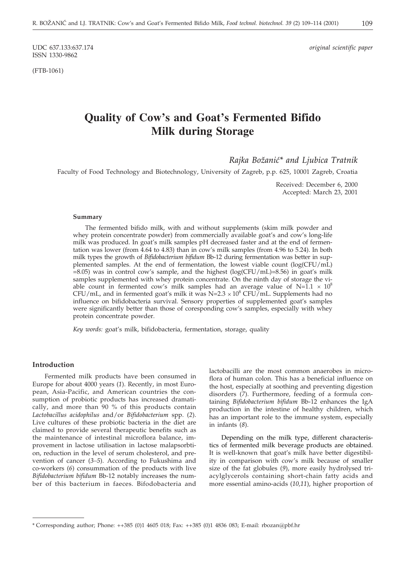ISSN 1330-9862

(FTB-1061)

UDC 637.133:637.174 *original scientific paper*

# **Quality of Cow's and Goat's Fermented Bifido Milk during Storage**

*Rajka Bo`ani}\* and Ljubica Tratnik*

Faculty of Food Technology and Biotechnology, University of Zagreb, p.p. 625, 10001 Zagreb, Croatia

Received: December 6, 2000 Accepted: March 23, 2001

#### **Summary**

The fermented bifido milk, with and without supplements (skim milk powder and whey protein concentrate powder) from commercially available goat's and cow's long-life milk was produced. In goat's milk samples pH decreased faster and at the end of fermentation was lower (from 4.64 to 4.83) than in cow's milk samples (from 4.96 to 5.24). In both milk types the growth of *Bifidobacterium bifidum* Bb-12 during fermentation was better in supplemented samples. At the end of fermentation, the lowest viable count  $(log(CFU/mL)$  $=8.05$ ) was in control cow's sample, and the highest (log(CFU/mL)=8.56) in goat's milk samples supplemented with whey protein concentrate. On the ninth day of storage the viable count in fermented cow's milk samples had an average value of  $N=1.1 \times 10^8$ CFU/mL, and in fermented goat's milk it was N=2.3  $\times$  10<sup>8</sup> CFU/mL. Supplements had no influence on bifidobacteria survival. Sensory properties of supplemented goat's samples were significantly better than those of coresponding cow's samples, especially with whey protein concentrate powder.

*Key words:* goat's milk, bifidobacteria, fermentation, storage, quality

# **Introduction**

Fermented milk products have been consumed in Europe for about 4000 years (*1*). Recently, in most European, Asia-Pacific, and American countries the consumption of probiotic products has increased dramatically, and more than  $90\%$  of this products contain *Lactobacillus acidophilus* and/or *Bifidobacterium* spp. (*2*). Live cultures of these probiotic bacteria in the diet are claimed to provide several therapeutic benefits such as the maintenance of intestinal microflora balance, improvement in lactose utilisation in lactose malapsorbtion, reduction in the level of serum cholesterol, and prevention of cancer (*3–5*). According to Fukushima and co-workers (*6*) consummation of the products with live *Bifidobacterium bifidum* Bb-12 notably increases the number of this bacterium in faeces. Bifodobacteria and lactobacilli are the most common anaerobes in microflora of human colon. This has a beneficial influence on the host, especially at soothing and preventing digestion disorders (*7*). Furthermore, feeding of a formula containing *Bifidobacterium bifidum* Bb-12 enhances the IgA production in the intestine of healthy children, which has an important role to the immune system, especially in infants (*8*).

Depending on the milk type, different characteristics of fermented milk beverage products are obtained. It is well-known that goat's milk have better digestibility in comparison with cow's milk because of smaller size of the fat globules (*9*), more easily hydrolysed triacylglycerols containing short-chain fatty acids and more essential amino-acids (*10,11*), higher proportion of

<sup>\*</sup> Corresponding author; Phone: ++385 (0)1 4605 018; Fax: ++385 (0)1 4836 083; E-mail: rbozan*@*pbf.hr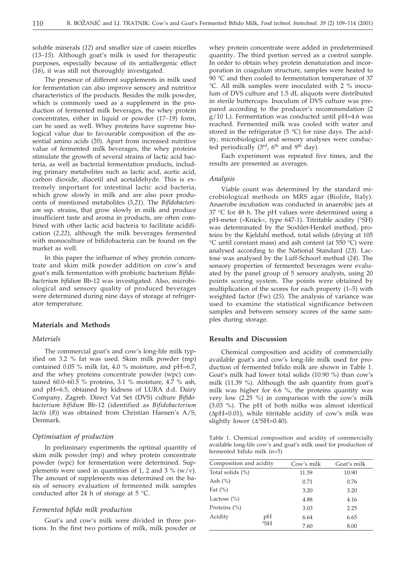soluble minerals (*12*) and smaller size of casein micelles (*13–15*). Although goat's milk is used for therapeutic purposes, especially because of its antiallergenic effect (*16*), it was still not thoroughly investigated.

The presence of different supplements in milk used for fermentation can also improve sensory and nutritive characteristics of the products. Besides the milk powder, which is commonly used as a supplement in the production of fermented milk beverages, the whey protein concentrates, either in liquid or powder (*17–19*) form, can be used as well. Whey proteins have supreme biological value due to favourable composition of the essential amino acids (*20*). Apart from increased nutritive value of fermented milk beverages, the whey proteins stimulate the growth of several strains of lactic acid bacteria, as well as bacterial fermentation products, including primary metabolites such as lactic acid, acetic acid, carbon dioxide, diacetil and acetaldehyde. This is extremely important for intestinal lactic acid bacteria, which grow slowly in milk and are also poor producents of mentioned metabolites (*5,21*). The *Bifidobacterium* ssp. strains, that grow slowly in milk and produce insufficient taste and aroma in products, are often combined with other lactic acid bacteria to facilitate acidification (*2,22*), although the milk beverages fermented with monoculture of bifidobacteria can be found on the market as well.

In this paper the influence of whey protein concentrate and skim milk powder addition on cow's and goat's milk fermentation with probiotic bacterium *Bifidobacterium bifidum* Bb-12 was investigated. Also, microbiological and sensory quality of produced beverages were determined during nine days of storage at refrigerator temperature.

# **Materials and Methods**

# *Materials*

The commercial goat's and cow's long-life milk typified on 3.2 % fat was used. Skim milk powder (mp) contained 0.05 % milk fat, 4.0 % moisture, and pH=6.7, and the whey proteins concentrate powder (wpc) contained 60.0–60.5 % proteins, 3.1 % moisture, 4.7 % ash, and pH=6.5, obtained by kidness of LURA d.d. Dairy Company, Zagreb. Direct Vat Set (DVS) culture *Bifidobacterium bifidum* Bb-12 (identified as *Bifidobacterium lactis* (*8*)) was obtained from Christian Hansen's A/S, Denmark.

#### *Optimisation of production*

In preliminary experiments the optimal quantity of skim milk powder (mp) and whey protein concentrate powder (wpc) for fermentation were determined. Supplements were used in quantities of 1, 2 and 3 % ( $w/v$ ). The amount of supplements was determined on the basis of sensory evaluation of fermented milk samples conducted after 24 h of storage at 5 °C.

#### *Fermented bifido milk production*

Goat's and cow's milk were divided in three portions. In the first two portions of milk, milk powder or whey protein concentrate were added in predetermined quantity. The third portion served as a control sample. In order to obtain whey protein denaturation and incorporation in coagulum structure, samples were heated to 90 °C and then cooled to fermentation temperature of 37 °C. All milk samples were inoculated with 2 % inoculum of DVS culture and 1.5 dL aliquots were distributed in sterile buttercups. Inoculum of DVS culture was prepared according to the producer's recommendation (2 g/10 L). Fermentation was conducted until pH=4.6 was reached. Fermented milk was cooled with water and stored in the refrigerator  $(5 \degree C)$  for nine days. The acidity, microbiological and sensory analyses were conducted periodically  $(3<sup>rd</sup>, 6<sup>th</sup>$  and 9<sup>th</sup> day).

Each experiment was repeated five times, and the results are presented as averages.

#### *Analysis*

Viable count was determined by the standard microbiological methods on MRS agar (Biolife, Italy). Anaerobe incubation was conducted in anaerobic jars at 37 °C for 48 h. The pH values were determined using a pH-meter (»Knick«, type 647-1). Titritable acidity (°SH) was determinated by the Soxhlet-Henkel method, proteins by the Kjeldahl method, total solids (drying at 105 °C until constant mass) and ash content (at 550 °C) were analysed according to the National Standard (*23*). Lactose was analysed by the Luff-Schoorl method (*24*). The sensory properties of fermented beverages were evaluated by the panel group of 5 sensory analysts, using 20 points scoring system. The points were obtained by multiplication of the scores for each property (1–5) with weighted factor (Fw) (*25*). The analysis of variance was used to examine the statistical significance between samples and between sensory scores of the same samples during storage.

# **Results and Discussion**

Chemical composition and acidity of commercially available goat's and cow's long-life milk used for production of fermented bifido milk are shown in Table 1. Goat's milk had lower total solids (10.90 %) than cow's milk (11.39 %). Although the ash quantity from goat's milk was higher for 6.6 %, the proteins quantity was very low (2.25 %) in comparison with the cow's milk (3.03 %). The pH of both milks was almost identical  $(\Delta pH=0.01)$ , while titritable acidity of cow's milk was slightly lower ( $\Delta$ °SH=0.40).

Table 1. Chemical composition and acidity of commercially available long-life cow's and goat's milk used for production of fermented bifido milk (n=5)

| Composition and acidity |                       | Cow's milk | Goat's milk |
|-------------------------|-----------------------|------------|-------------|
| Total solids $(\%)$     |                       | 11.39      | 10.90       |
| Ash $(\% )$             |                       | 0.71       | 0.76        |
| Fat $(\%)$              |                       | 3.20       | 3.20        |
| Lactose $(\% )$         |                       | 4.88       | 4.16        |
| Proteins $(\% )$        |                       | 3.03       | 2.25        |
| Acidity                 | pН                    | 6.64       | 6.65        |
|                         | $\mathrm{^{\circ}SH}$ | 7.60       | 8.00        |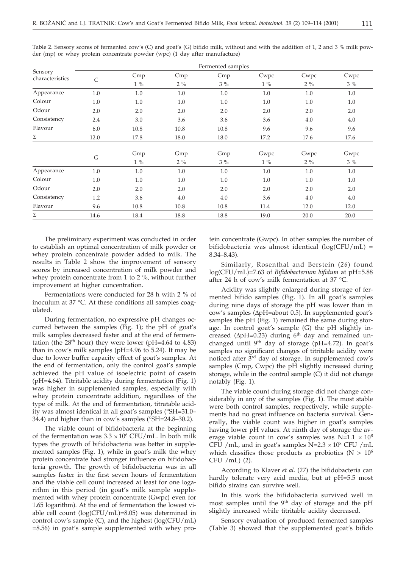| Sensory<br>characteristics | Fermented samples |       |       |       |       |       |       |  |
|----------------------------|-------------------|-------|-------|-------|-------|-------|-------|--|
|                            | $\mathsf{C}$      | Cmp   | Cmp   | Cmp   | Cwpc  | Cwpc  | Cwpc  |  |
|                            |                   | $1\%$ | $2\%$ | $3\%$ | $1\%$ | $2\%$ | $3\%$ |  |
| Appearance                 | 1.0               | 1.0   | 1.0   | 1.0   | 1.0   | 1.0   | 1.0   |  |
| Colour                     | 1.0               | 1.0   | 1.0   | 1.0   | 1.0   | 1.0   | 1.0   |  |
| Odour                      | 2.0               | 2.0   | 2.0   | 2.0   | 2.0   | 2.0   | 2.0   |  |
| Consistency                | 2.4               | 3.0   | 3.6   | 3.6   | 3.6   | 4.0   | 4.0   |  |
| Flavour                    | 6.0               | 10.8  | 10.8  | 10.8  | 9.6   | 9.6   | 9.6   |  |
| $\Sigma$                   | 12.0              | 17.8  | 18.0  | 18.0  | 17.2  | 17.6  | 17.6  |  |
|                            |                   |       |       |       |       |       |       |  |
|                            | G                 | Gmp   | Gmp   | Gmp   | Gwpc  | Gwpc  | Gwpc  |  |
|                            |                   | $1\%$ | $2\%$ | $3\%$ | $1\%$ | $2\%$ | $3\%$ |  |
| Appearance                 | 1.0               | 1.0   | 1.0   | 1.0   | 1.0   | 1.0   | 1.0   |  |
| Colour                     | 1.0               | 1.0   | 1.0   | 1.0   | 1.0   | 1.0   | 1.0   |  |
| Odour                      | 2.0               | 2.0   | 2.0   | 2.0   | 2.0   | 2.0   | 2.0   |  |
| Consistency                | 1.2               | 3.6   | 4.0   | 4.0   | 3.6   | 4.0   | 4.0   |  |
| Flavour                    | 9.6               | 10.8  | 10.8  | 10.8  | 11.4  | 12.0  | 12.0  |  |
| Σ                          | 14.6              | 18.4  | 18.8  | 18.8  | 19.0  | 20.0  | 20.0  |  |

Table 2. Sensory scores of fermented cow's (C) and goat's (G) bifido milk, without and with the addition of 1, 2 and 3 % milk powder (mp) or whey protein concentrate powder (wpc) (1 day after manufacture)

The preliminary experiment was conducted in order to establish an optimal concentration of milk powder or whey protein concentrate powder added to milk. The results in Table 2 show the improvement of sensory scores by increased concentration of milk powder and whey protein concentrate from 1 to 2 %, without further improvement at higher concentration.

Fermentations were conducted for 28 h with 2 % of inoculum at 37 °C. At these conditions all samples coagulated.

During fermentation, no expressive pH changes occurred between the samples (Fig. 1); the pH of goat's milk samples decreased faster and at the end of fermentation (the  $28<sup>th</sup>$  hour) they were lower (pH=4.64 to 4.83) than in cow's milk samples (pH=4.96 to 5.24). It may be due to lower buffer capacity effect of goat's samples. At the end of fermentation, only the control goat's sample achieved the pH value of isoelectric point of casein (pH=4.64). Titritable acidity during fermentation (Fig. 1) was higher in supplemented samples, especially with whey protein concentrate addition, regardless of the type of milk. At the end of fermentation, titratable acidity was almost identical in all goat's samples (°SH=31.0– 34.4) and higher than in cow's samples (°SH=24.8–30.2).

The viable count of bifidobacteria at the beginning of the fermentation was  $3.3 \times 10^6$  CFU/mL. In both milk types the growth of bifidobacteria was better in supplemented samples (Fig. 1), while in goat's milk the whey protein concentrate had stronger influence on bifidobacteria growth. The growth of bifidobacteria was in all samples faster in the first seven hours of fermentation and the viable cell count increased at least for one logarithm in this period (in goat's milk sample supplemented with whey protein concentrate (Gwpc) even for 1.65 logarithm). At the end of fermentation the lowest viable cell count (log(CFU/mL)=8.05) was determined in control cow's sample (C), and the highest (log(CFU/mL) =8.56) in goat's sample supplemented with whey protein concentrate (Gwpc). In other samples the number of bifidobacteria was almost identical  $(log(CFU/mL)$  = 8.34–8.43).

Similarly, Rosenthal and Berstein (*26*) found log(CFU/mL)=7.63 of *Bifidobacterium bifidum* at pH=5.88 after 24 h of cow's milk fermentation at 37 °C.

Acidity was slightly enlarged during storage of fermented bifido samples (Fig. 1). In all goat's samples during nine days of storage the pH was lower than in cow's samples (ApH=about 0.5). In supplemented goat's samples the pH (Fig. 1) remained the same during storage. In control goat's sample (G) the pH slightly increased ( $\Delta$ pH=0.23) during 6<sup>th</sup> day and remained unchanged until 9th day of storage (pH=4.72). In goat's samples no significant changes of titritable acidity were noticed after 3rd day of storage. In supplemented cow's samples (Cmp, Cwpc) the pH slightly increased during storage, while in the control sample (C) it did not change notably (Fig. 1).

The viable count during storage did not change considerably in any of the samples (Fig. 1). The most stable were both control samples, recpectively, while supplements had no great influence on bacteria survival. Generally, the viable count was higher in goat's samples having lower pH values. At ninth day of storage the average viable count in cow's samples was  $N=1.1 \times 10^8$ CFU /mL, and in goat's samples  $N=2.3 \times 10^8$  CFU /mL which classifies those products as probiotics ( $N > 10^6$ ) CFU /mL) (*2*).

According to Klaver *et al*. (*27*) the bifidobacteria can hardly tolerate very acid media, but at pH=5.5 most bifido strains can survive well.

In this work the bifidobacteria survived well in most samples until the  $9<sup>th</sup>$  day of storage and the pH slightly increased while titritable acidity decreased.

Sensory evaluation of produced fermented samples (Table 3) showed that the supplemented goat's bifido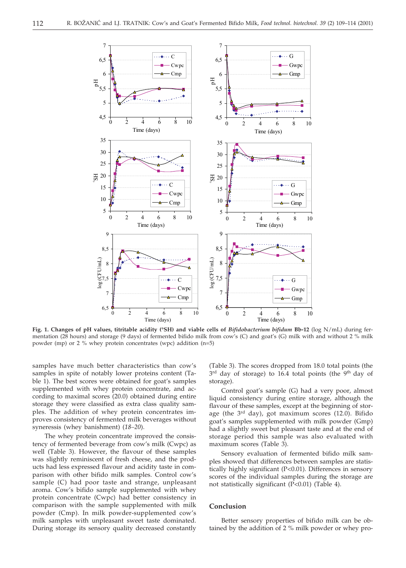

**Fig. 1. Changes of pH values, titritable acidity (°SH) and viable cells of** *Bifidobacterium bifidum* **Bb-12** (log N/mL) during fermentation (28 hours) and storage (9 days) of fermented bifido milk from cow's (C) and goat's (G) milk with and without 2 % milk powder (mp) or 2 % whey protein concentrates (wpc) addition (n=5)

samples have much better characteristics than cow's samples in spite of notably lower proteins content (Table 1). The best scores were obtained for goat's samples supplemented with whey protein concentrate, and according to maximal scores (20.0) obtained during entire storage they were classified as extra class quality samples. The addition of whey protein concentrates improves consistency of fermented milk beverages without syneressis (whey banishment) (*18–20*).

The whey protein concentrate improved the consistency of fermented beverage from cow's milk (Cwpc) as well (Table 3). However, the flavour of these samples was slightly reminiscent of fresh cheese, and the products had less expressed flavour and acidity taste in comparison with other bifido milk samples. Control cow's sample (C) had poor taste and strange, unpleasant aroma. Cow's bifido sample supplemented with whey protein concentrate (Cwpc) had better consistency in comparison with the sample supplemented with milk powder (Cmp). In milk powder-supplemented cow's milk samples with unpleasant sweet taste dominated. During storage its sensory quality decreased constantly (Table 3). The scores dropped from 18.0 total points (the  $3<sup>rd</sup>$  day of storage) to  $16.4$  total points (the  $9<sup>th</sup>$  day of storage).

Control goat's sample (G) had a very poor, almost liquid consistency during entire storage, although the flavour of these samples, except at the beginning of storage (the  $3<sup>rd</sup>$  day), got maximum scores (12.0). Bifido goat's samples supplemented with milk powder (Gmp) had a slightly sweet but pleasant taste and at the end of storage period this sample was also evaluated with maximum scores (Table 3).

Sensory evaluation of fermented bifido milk samples showed that differences between samples are statistically highly significant (P<0.01). Differences in sensory scores of the individual samples during the storage are not statistically significant (P<0.01) (Table 4).

# **Conclusion**

Better sensory properties of bifido milk can be obtained by the addition of 2 % milk powder or whey pro-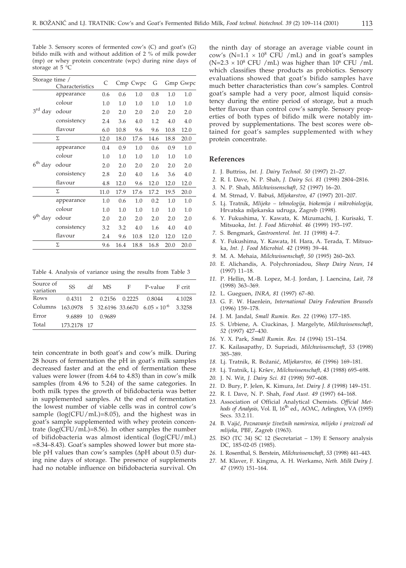Table 3. Sensory scores of fermented cow's (C) and goat's (G) bifido milk with and without addition of 2 % of milk powder (mp) or whey protein concentrate (wpc) during nine days of storage at 5 °C

|                                                                                                     | Characteristics | C    |      | Cmp Cwpc | G    |      | Gmp Gwpc |
|-----------------------------------------------------------------------------------------------------|-----------------|------|------|----------|------|------|----------|
|                                                                                                     | appearance      | 0.6  | 0.6  | 1.0      | 0.8  | 1.0  | 1.0      |
|                                                                                                     | colour          | 1.0  | 1.0  | 1.0      | 1.0  | 1.0  | 1.0      |
| Storage time /<br>$3^{\text{rd}}$<br>day<br>Σ<br>$6^{\rm th}$<br>day<br>Σ<br><sub>q</sub> th<br>day | odour           | 2.0  | 2.0  | 2.0      | 2.0  | 2.0  | 2.0      |
|                                                                                                     | consistency     | 2.4  | 3.6  | 4.0      | 1.2  | 4.0  | 4.0      |
|                                                                                                     | flavour         | 6.0  | 10.8 | 9.6      | 9.6  | 10.8 | 12.0     |
|                                                                                                     |                 | 12.0 | 18.0 | 17.6     | 14.6 | 18.8 | 20.0     |
|                                                                                                     | appearance      | 0.4  | 0.9  | 1.0      | 0.6  | 0.9  | 1.0      |
|                                                                                                     | colour          | 1.0  | 1.0  | 1.0      | 1.0  | 1.0  | 1.0      |
|                                                                                                     | odour           | 2.0  | 2.0  | 2.0      | 2.0  | 2.0  | 2.0      |
|                                                                                                     | consistency     | 2.8  | 2.0  | 4.0      | 1.6  | 3.6  | 4.0      |
|                                                                                                     | flavour         | 4.8  | 12.0 | 9.6      | 12.0 | 12.0 | 12.0     |
|                                                                                                     |                 | 11.0 | 17.9 | 17.6     | 17.2 | 19.5 | 20.0     |
|                                                                                                     | appearance      | 1.0  | 0.6  | 1.0      | 0.2  | 1.0  | 1.0      |
|                                                                                                     | colour          | 1.0  | 1.0  | 1.0      | 1.0  | 1.0  | 1.0      |
|                                                                                                     | odour           | 2.0  | 2.0  | 2.0      | 2.0  | 2.0  | 2.0      |
|                                                                                                     | consistency     | 3.2  | 3.2  | 4.0      | 1.6  | 4.0  | 4.0      |
|                                                                                                     | flavour         | 2.4  | 9.6  | 10.8     | 12.0 | 12.0 | 12.0     |
|                                                                                                     | Σ               | 9.6  | 16.4 | 18.8     | 16.8 | 20.0 | 20.0     |

Table 4. Analysis of variance using the results from Table 3

| Source of | SS          | df | MS —             | F. | P-value                                                            | F crit |
|-----------|-------------|----|------------------|----|--------------------------------------------------------------------|--------|
| variation |             |    |                  |    |                                                                    |        |
| Rows      |             |    |                  |    | 0.4311 2 0.2156 0.2225 0.8044                                      | 4.1028 |
| Columns   |             |    |                  |    | $163.0978$ 5 32.6196 33.6670 6.05 $\times$ 10 <sup>-6</sup> 3.3258 |        |
| Error     |             |    | 9.6889 10 0.9689 |    |                                                                    |        |
| Total     | 173.2178 17 |    |                  |    |                                                                    |        |

tein concentrate in both goat's and cow's milk. During 28 hours of fermentation the pH in goat's milk samples decreased faster and at the end of fermentation these values were lower (from 4.64 to 4.83) than in cow's milk samples (from 4.96 to 5.24) of the same categories. In both milk types the growth of bifidobacteria was better in supplemented samples. At the end of fermentation the lowest number of viable cells was in control cow's sample  $(log(CFU/mL)=8.05)$ , and the highest was in goat's sample supplemented with whey protein concentrate (log(CFU/mL)=8.56). In other samples the number of bifidobacteria was almost identical (log(CFU/mL) =8.34–8.43). Goat's samples showed lower but more stable pH values than cow's samples (ApH about 0.5) during nine days of storage. The presence of supplements had no notable influence on bifidobacteria survival. On

the ninth day of storage an average viable count in cow's (N=1.1  $\times$  10<sup>8</sup> CFU /mL) and in goat's samples (N=2.3  $\times$  10<sup>8</sup> CFU /mL) was higher than 10<sup>6</sup> CFU /mL which classifies these products as probiotics. Sensory evaluations showed that goat's bifido samples have much better characteristics than cow's samples. Control goat's sample had a very poor, almost liquid consistency during the entire period of storage, but a much better flavour than control cow's sample. Sensory properties of both types of bifido milk were notably improved by supplementations. The best scores were obtained for goat's samples supplemented with whey protein concentrate.

### **References**

- *1.* J. Buttriss, *Int. J. Dairy Technol. 50* (1997) 21–27.
- *2.* R. I. Dave, N. P. Shah, *J. Dairy Sci. 81* (1998) 2804–2816.
- *3.* N. P. Shah, *Milchwissenschaft*, *52* (1997) 16–20.
- *4.* M. Strnad, V. Babu{, *Mljekarstvo*, *47* (1997) 201–207.
- *5.* Lj. Tratnik, *Mlijeko tehnologija, biokemija i mikrobiologija,* Hrvatska mljekarska udruga, Zagreb (1998).
- *6.* Y. Fukushima, Y. Kawata, K. Mizumachi, J. Kurisaki, T. Mitsuoka, *Int. J. Food Microbiol. 46* (1999) 193–197.
- *7.* S. Bengmark, *Gastroenterol. Int. 11* (1998) 4–7.
- *8.* Y. Fukushima, Y. Kawata, H. Hara, A. Terada, T. Mitsuoka, *Int*. *J. Food Microbiol. 42* (1998) 39–44.
- *9.* M. A. Mehaia, *Milchwissenschaft, 50* (1995) 260–263.
- *10.* E. Alichandis, A. Polychroniadou, *Sheep Dairy News, 14* (1997) 11–18.
- *11.* P. Hellin, M.-B. Lopez, M.-J. Jordan, J. Laencina, *Lait, 78* (1998) 363–369.
- *12.* L. Gueguen, *INRA, 81* (1997) 67–80.
- *13.* G. F. W. Haenlein, *International Dairy Federation Brussels* (1996) 159–178.
- *14.* J. M. Jandal, *Small Rumin. Res. 22* (1996) 177–185.
- *15.* S. Urbiene, A. Ciuckinas, J. Margelyte, *Milchwissenschaft*, *52* (1997) 427–430.
- *16.* Y. X. Park, *Small Rumin. Res. 14* (1994) 151–154.
- *17.* K. Kailasapathy, D. Supriadi, *Milchwissenschaft*, *53* (1998) 385–389.
- *18.* Lj. Tratnik, R. Bo`ani}, *Mljekarstvo, 46* (1996) 169–181.
- *19.* Lj. Tratnik, Lj. Kr{ev, *Milchwissenschaft, 43* (1988) 695–698.
- *20.* J. N. Wit, *J. Dairy Sci. 81* (1998) 597–608.
- *21.* D. Bury, P. Jelen, K. Kimura, *Int. Dairy J. 8* (1998) 149–151.
- *22.* R. I. Dave, N. P. Shah, *Food Aust. 49* (1997) 64–168.
- *23.* Association of Official Analytical Chemists. *Official Met*hods of Analysis, Vol. II, 16<sup>th</sup> ed., AOAC, Arlington, VA (1995) Secs. 33.2.11.
- *24.* B. Vaji}, *Poznavanje `ive`nih namirnica, mlijeko i proizvodi od mlijeka,* PBF, Zagreb (1963).
- *25.* ISO (TC 34) SC 12 (Secretariat 139) E Sensory analysis DC, 185-02-05 (1985).
- *26.* I. Rosenthal, S. Berstein, *Milchwissenschaft*, *53* (1998) 441–443.
- *27.* M. Klaver, F. Kingma, A. H. Werkamo, *Neth. Milk Dairy J. 47* (1993) 151–164.